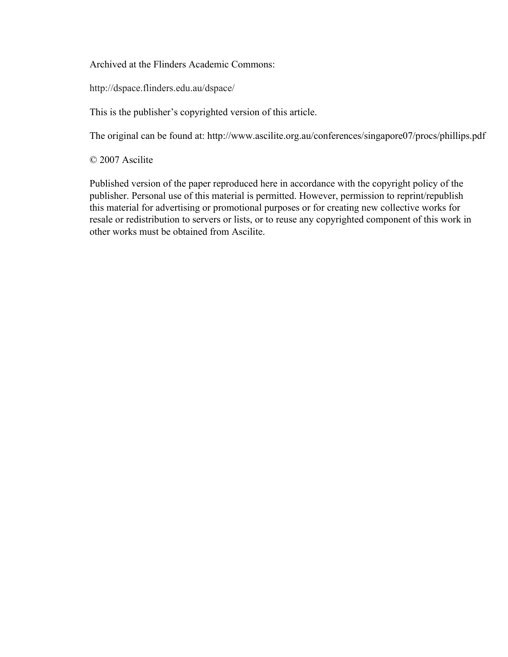Archived at the Flinders Academic Commons:

http://dspace.flinders.edu.au/dspace/

This is the publisher's copyrighted version of this article.

The original can be found at: http://www.ascilite.org.au/conferences/singapore07/procs/phillips.pdf

© 2007 Ascilite

Published version of the paper reproduced here in accordance with the copyright policy of the publisher. Personal use of this material is permitted. However, permission to reprint/republish this material for advertising or promotional purposes or for creating new collective works for resale or redistribution to servers or lists, or to reuse any copyrighted component of this work in other works must be obtained from Ascilite.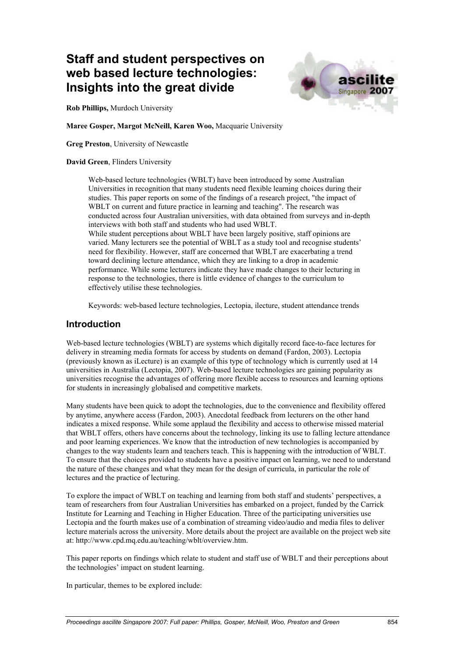# **Staff and student perspectives on web based lecture technologies: Insights into the great divide**



**Rob Phillips,** Murdoch University

**Maree Gosper, Margot McNeill, Karen Woo,** Macquarie University

**Greg Preston**, University of Newcastle

#### **David Green**, Flinders University

Web-based lecture technologies (WBLT) have been introduced by some Australian Universities in recognition that many students need flexible learning choices during their studies. This paper reports on some of the findings of a research project, "the impact of WBLT on current and future practice in learning and teaching". The research was conducted across four Australian universities, with data obtained from surveys and in-depth interviews with both staff and students who had used WBLT. While student perceptions about WBLT have been largely positive, staff opinions are varied. Many lecturers see the potential of WBLT as a study tool and recognise students' need for flexibility. However, staff are concerned that WBLT are exacerbating a trend

toward declining lecture attendance, which they are linking to a drop in academic performance. While some lecturers indicate they have made changes to their lecturing in response to the technologies, there is little evidence of changes to the curriculum to effectively utilise these technologies.

Keywords: web-based lecture technologies, Lectopia, ilecture, student attendance trends

### **Introduction**

Web-based lecture technologies (WBLT) are systems which digitally record face-to-face lectures for delivery in streaming media formats for access by students on demand (Fardon, 2003). Lectopia (previously known as iLecture) is an example of this type of technology which is currently used at 14 universities in Australia (Lectopia, 2007). Web-based lecture technologies are gaining popularity as universities recognise the advantages of offering more flexible access to resources and learning options for students in increasingly globalised and competitive markets.

Many students have been quick to adopt the technologies, due to the convenience and flexibility offered by anytime, anywhere access (Fardon, 2003). Anecdotal feedback from lecturers on the other hand indicates a mixed response. While some applaud the flexibility and access to otherwise missed material that WBLT offers, others have concerns about the technology, linking its use to falling lecture attendance and poor learning experiences. We know that the introduction of new technologies is accompanied by changes to the way students learn and teachers teach. This is happening with the introduction of WBLT. To ensure that the choices provided to students have a positive impact on learning, we need to understand the nature of these changes and what they mean for the design of curricula, in particular the role of lectures and the practice of lecturing.

To explore the impact of WBLT on teaching and learning from both staff and students' perspectives, a team of researchers from four Australian Universities has embarked on a project, funded by the Carrick Institute for Learning and Teaching in Higher Education. Three of the participating universities use Lectopia and the fourth makes use of a combination of streaming video/audio and media files to deliver lecture materials across the university. More details about the project are available on the project web site at: http://www.cpd.mq.edu.au/teaching/wblt/overview.htm.

This paper reports on findings which relate to student and staff use of WBLT and their perceptions about the technologies' impact on student learning.

In particular, themes to be explored include: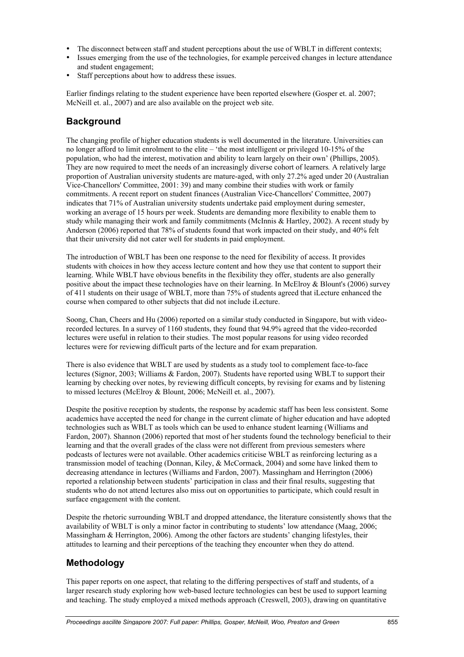- The disconnect between staff and student perceptions about the use of WBLT in different contexts;
- Issues emerging from the use of the technologies, for example perceived changes in lecture attendance and student engagement;
- Staff perceptions about how to address these issues.

Earlier findings relating to the student experience have been reported elsewhere (Gosper et. al. 2007; McNeill et. al., 2007) and are also available on the project web site.

# **Background**

The changing profile of higher education students is well documented in the literature. Universities can no longer afford to limit enrolment to the elite – 'the most intelligent or privileged 10-15% of the population, who had the interest, motivation and ability to learn largely on their own' (Phillips, 2005). They are now required to meet the needs of an increasingly diverse cohort of learners*.* A relatively large proportion of Australian university students are mature-aged, with only 27.2% aged under 20 (Australian Vice-Chancellors' Committee, 2001: 39) and many combine their studies with work or family commitments. A recent report on student finances (Australian Vice-Chancellors' Committee, 2007) indicates that 71% of Australian university students undertake paid employment during semester, working an average of 15 hours per week. Students are demanding more flexibility to enable them to study while managing their work and family commitments (McInnis & Hartley, 2002). A recent study by Anderson (2006) reported that 78% of students found that work impacted on their study, and 40% felt that their university did not cater well for students in paid employment.

The introduction of WBLT has been one response to the need for flexibility of access. It provides students with choices in how they access lecture content and how they use that content to support their learning. While WBLT have obvious benefits in the flexibility they offer, students are also generally positive about the impact these technologies have on their learning. In McElroy & Blount's (2006) survey of 411 students on their usage of WBLT, more than 75% of students agreed that iLecture enhanced the course when compared to other subjects that did not include iLecture.

Soong, Chan, Cheers and Hu (2006) reported on a similar study conducted in Singapore, but with videorecorded lectures. In a survey of 1160 students, they found that 94.9% agreed that the video-recorded lectures were useful in relation to their studies. The most popular reasons for using video recorded lectures were for reviewing difficult parts of the lecture and for exam preparation.

There is also evidence that WBLT are used by students as a study tool to complement face-to-face lectures (Signor, 2003; Williams & Fardon, 2007). Students have reported using WBLT to support their learning by checking over notes, by reviewing difficult concepts, by revising for exams and by listening to missed lectures (McElroy & Blount, 2006; McNeill et. al., 2007).

Despite the positive reception by students, the response by academic staff has been less consistent. Some academics have accepted the need for change in the current climate of higher education and have adopted technologies such as WBLT as tools which can be used to enhance student learning (Williams and Fardon, 2007). Shannon (2006) reported that most of her students found the technology beneficial to their learning and that the overall grades of the class were not different from previous semesters where podcasts of lectures were not available. Other academics criticise WBLT as reinforcing lecturing as a transmission model of teaching (Donnan, Kiley, & McCormack, 2004) and some have linked them to decreasing attendance in lectures (Williams and Fardon, 2007). Massingham and Herrington (2006) reported a relationship between students' participation in class and their final results, suggesting that students who do not attend lectures also miss out on opportunities to participate, which could result in surface engagement with the content.

Despite the rhetoric surrounding WBLT and dropped attendance, the literature consistently shows that the availability of WBLT is only a minor factor in contributing to students' low attendance (Maag, 2006; Massingham & Herrington, 2006). Among the other factors are students' changing lifestyles, their attitudes to learning and their perceptions of the teaching they encounter when they do attend.

# **Methodology**

This paper reports on one aspect, that relating to the differing perspectives of staff and students, of a larger research study exploring how web-based lecture technologies can best be used to support learning and teaching. The study employed a mixed methods approach (Creswell, 2003), drawing on quantitative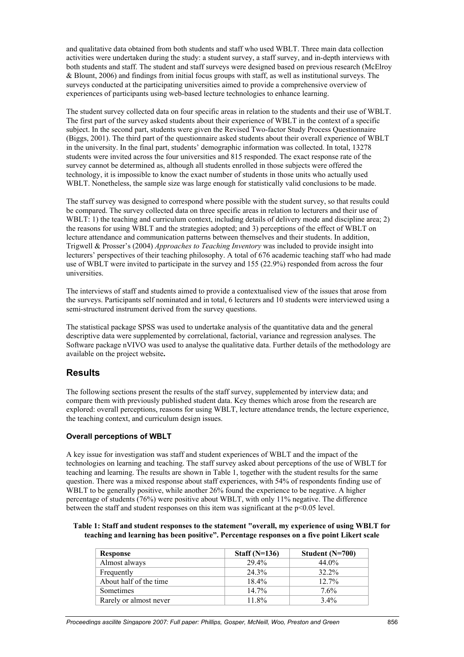and qualitative data obtained from both students and staff who used WBLT. Three main data collection activities were undertaken during the study: a student survey, a staff survey, and in-depth interviews with both students and staff. The student and staff surveys were designed based on previous research (McElroy & Blount, 2006) and findings from initial focus groups with staff, as well as institutional surveys. The surveys conducted at the participating universities aimed to provide a comprehensive overview of experiences of participants using web-based lecture technologies to enhance learning.

The student survey collected data on four specific areas in relation to the students and their use of WBLT. The first part of the survey asked students about their experience of WBLT in the context of a specific subject. In the second part, students were given the Revised Two-factor Study Process Questionnaire (Biggs, 2001). The third part of the questionnaire asked students about their overall experience of WBLT in the university. In the final part, students' demographic information was collected. In total, 13278 students were invited across the four universities and 815 responded. The exact response rate of the survey cannot be determined as, although all students enrolled in those subjects were offered the technology, it is impossible to know the exact number of students in those units who actually used WBLT. Nonetheless, the sample size was large enough for statistically valid conclusions to be made.

The staff survey was designed to correspond where possible with the student survey, so that results could be compared. The survey collected data on three specific areas in relation to lecturers and their use of WBLT: 1) the teaching and curriculum context, including details of delivery mode and discipline area; 2) the reasons for using WBLT and the strategies adopted; and 3) perceptions of the effect of WBLT on lecture attendance and communication patterns between themselves and their students. In addition, Trigwell & Prosser's (2004) *Approaches to Teaching Inventory* was included to provide insight into lecturers' perspectives of their teaching philosophy. A total of 676 academic teaching staff who had made use of WBLT were invited to participate in the survey and 155 (22.9%) responded from across the four universities.

The interviews of staff and students aimed to provide a contextualised view of the issues that arose from the surveys. Participants self nominated and in total, 6 lecturers and 10 students were interviewed using a semi-structured instrument derived from the survey questions.

The statistical package SPSS was used to undertake analysis of the quantitative data and the general descriptive data were supplemented by correlational, factorial, variance and regression analyses. The Software package nVIVO was used to analyse the qualitative data. Further details of the methodology are available on the project website**.**

### **Results**

The following sections present the results of the staff survey, supplemented by interview data; and compare them with previously published student data. Key themes which arose from the research are explored: overall perceptions, reasons for using WBLT, lecture attendance trends, the lecture experience, the teaching context, and curriculum design issues.

### **Overall perceptions of WBLT**

A key issue for investigation was staff and student experiences of WBLT and the impact of the technologies on learning and teaching. The staff survey asked about perceptions of the use of WBLT for teaching and learning. The results are shown in Table 1, together with the student results for the same question. There was a mixed response about staff experiences, with 54% of respondents finding use of WBLT to be generally positive, while another 26% found the experience to be negative. A higher percentage of students (76%) were positive about WBLT, with only 11% negative. The difference between the staff and student responses on this item was significant at the p<0.05 level.

#### **Table 1: Staff and student responses to the statement "overall, my experience of using WBLT for teaching and learning has been positive". Percentage responses on a five point Likert scale**

| Response               | Staff $(N=136)$ | Student $(N=700)$ |
|------------------------|-----------------|-------------------|
| Almost always          | 29.4%           | 44.0%             |
| Frequently             | 24.3%           | 32.2%             |
| About half of the time | 18.4%           | 12.7%             |
| Sometimes              | $14.7\%$        | 7.6%              |
| Rarely or almost never | 11.8%           | $3.4\%$           |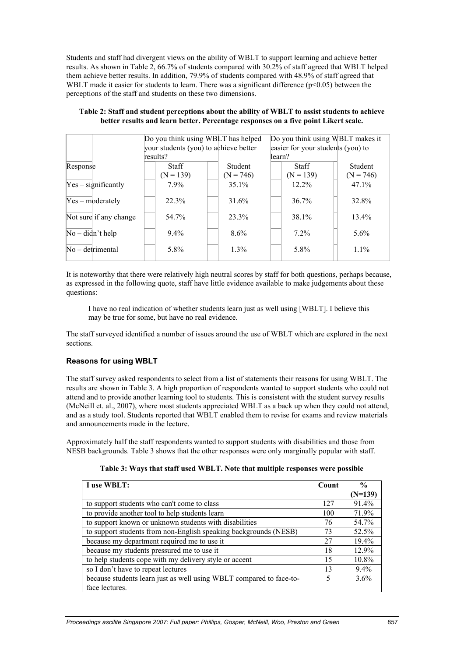Students and staff had divergent views on the ability of WBLT to support learning and achieve better results. As shown in Table 2, 66.7% of students compared with 30.2% of staff agreed that WBLT helped them achieve better results. In addition, 79.9% of students compared with 48.9% of staff agreed that WBLT made it easier for students to learn. There was a significant difference ( $p<0.05$ ) between the perceptions of the staff and students on these two dimensions.

|                        | Do you think using WBLT has helped                |                               | Do you think using WBLT makes it            |                        |  |
|------------------------|---------------------------------------------------|-------------------------------|---------------------------------------------|------------------------|--|
|                        | your students (you) to achieve better<br>results? |                               | easier for your students (you) to<br>learn? |                        |  |
| Response               | <b>Staff</b><br>$(N = 139)$                       | <b>Student</b><br>$(N = 746)$ | <b>Staff</b><br>$(N = 139)$                 | Student<br>$(N = 746)$ |  |
| $Yes - significantly$  | $7.9\%$                                           | $35.1\%$                      | $12.2\%$                                    | $47.1\%$               |  |
| $Yes - moderately$     | 22.3%                                             | 31.6%                         | 36.7%                                       | 32.8%                  |  |
| Not sure if any change | 54.7%                                             | 23.3%                         | 38.1%                                       | $13.4\%$               |  |
| $No - didn't help$     | $9.4\%$                                           | $8.6\%$                       | $7.2\%$                                     | $5.6\%$                |  |
| $No$ – detrimental     | 5.8%                                              | $1.3\%$                       | 5.8%                                        | $1.1\%$                |  |

### **Table 2: Staff and student perceptions about the ability of WBLT to assist students to achieve better results and learn better. Percentage responses on a five point Likert scale.**

It is noteworthy that there were relatively high neutral scores by staff for both questions, perhaps because, as expressed in the following quote, staff have little evidence available to make judgements about these questions:

I have no real indication of whether students learn just as well using [WBLT]. I believe this may be true for some, but have no real evidence.

The staff surveyed identified a number of issues around the use of WBLT which are explored in the next sections.

### **Reasons for using WBLT**

The staff survey asked respondents to select from a list of statements their reasons for using WBLT. The results are shown in Table 3. A high proportion of respondents wanted to support students who could not attend and to provide another learning tool to students. This is consistent with the student survey results (McNeill et. al., 2007), where most students appreciated WBLT as a back up when they could not attend, and as a study tool. Students reported that WBLT enabled them to revise for exams and review materials and announcements made in the lecture.

Approximately half the staff respondents wanted to support students with disabilities and those from NESB backgrounds. Table 3 shows that the other responses were only marginally popular with staff.

|  |  | Table 3: Ways that staff used WBLT. Note that multiple responses were possible |  |  |  |
|--|--|--------------------------------------------------------------------------------|--|--|--|
|  |  |                                                                                |  |  |  |

| I use WBLT:                                                         | Count | $\frac{0}{0}$ |
|---------------------------------------------------------------------|-------|---------------|
|                                                                     |       | $(N=139)$     |
| to support students who can't come to class                         | 127   | 91.4%         |
| to provide another tool to help students learn                      | 100   | 71.9%         |
| to support known or unknown students with disabilities              | 76    | 54.7%         |
| to support students from non-English speaking backgrounds (NESB)    | 73    | 52.5%         |
| because my department required me to use it                         | 27    | 19.4%         |
| because my students pressured me to use it                          | 18    | 12.9%         |
| to help students cope with my delivery style or accent              | 15    | 10.8%         |
| so I don't have to repeat lectures                                  | 13    | $9.4\%$       |
| because students learn just as well using WBLT compared to face-to- | 5     | $3.6\%$       |
| face lectures.                                                      |       |               |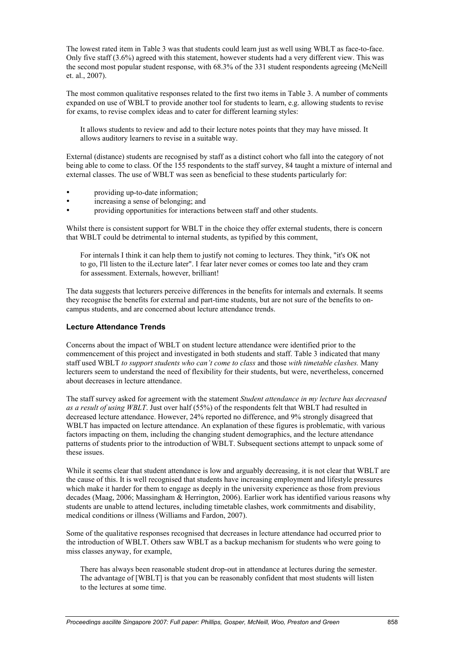The lowest rated item in Table 3 was that students could learn just as well using WBLT as face-to-face. Only five staff (3.6%) agreed with this statement, however students had a very different view. This was the second most popular student response, with 68.3% of the 331 student respondents agreeing (McNeill et. al., 2007).

The most common qualitative responses related to the first two items in Table 3. A number of comments expanded on use of WBLT to provide another tool for students to learn, e.g. allowing students to revise for exams, to revise complex ideas and to cater for different learning styles:

It allows students to review and add to their lecture notes points that they may have missed. It allows auditory learners to revise in a suitable way.

External (distance) students are recognised by staff as a distinct cohort who fall into the category of not being able to come to class. Of the 155 respondents to the staff survey, 84 taught a mixture of internal and external classes. The use of WBLT was seen as beneficial to these students particularly for:

- providing up-to-date information;<br>• processing a sense of belonging: at
- increasing a sense of belonging; and
- providing opportunities for interactions between staff and other students.

Whilst there is consistent support for WBLT in the choice they offer external students, there is concern that WBLT could be detrimental to internal students, as typified by this comment,

For internals I think it can help them to justify not coming to lectures. They think, "it's OK not to go, I'll listen to the iLecture later". I fear later never comes or comes too late and they cram for assessment. Externals, however, brilliant!

The data suggests that lecturers perceive differences in the benefits for internals and externals. It seems they recognise the benefits for external and part-time students, but are not sure of the benefits to oncampus students, and are concerned about lecture attendance trends.

#### **Lecture Attendance Trends**

Concerns about the impact of WBLT on student lecture attendance were identified prior to the commencement of this project and investigated in both students and staff. Table 3 indicated that many staff used WBLT *to support students who can't come to class* and those *with timetable clashes.* Many lecturers seem to understand the need of flexibility for their students, but were, nevertheless, concerned about decreases in lecture attendance.

The staff survey asked for agreement with the statement *Student attendance in my lecture has decreased as a result of using WBLT*. Just over half (55%) of the respondents felt that WBLT had resulted in decreased lecture attendance. However, 24% reported no difference, and 9% strongly disagreed that WBLT has impacted on lecture attendance. An explanation of these figures is problematic, with various factors impacting on them, including the changing student demographics, and the lecture attendance patterns of students prior to the introduction of WBLT. Subsequent sections attempt to unpack some of these issues.

While it seems clear that student attendance is low and arguably decreasing, it is not clear that WBLT are the cause of this. It is well recognised that students have increasing employment and lifestyle pressures which make it harder for them to engage as deeply in the university experience as those from previous decades (Maag, 2006; Massingham & Herrington, 2006). Earlier work has identified various reasons why students are unable to attend lectures, including timetable clashes, work commitments and disability, medical conditions or illness (Williams and Fardon, 2007).

Some of the qualitative responses recognised that decreases in lecture attendance had occurred prior to the introduction of WBLT. Others saw WBLT as a backup mechanism for students who were going to miss classes anyway, for example,

There has always been reasonable student drop-out in attendance at lectures during the semester. The advantage of [WBLT] is that you can be reasonably confident that most students will listen to the lectures at some time.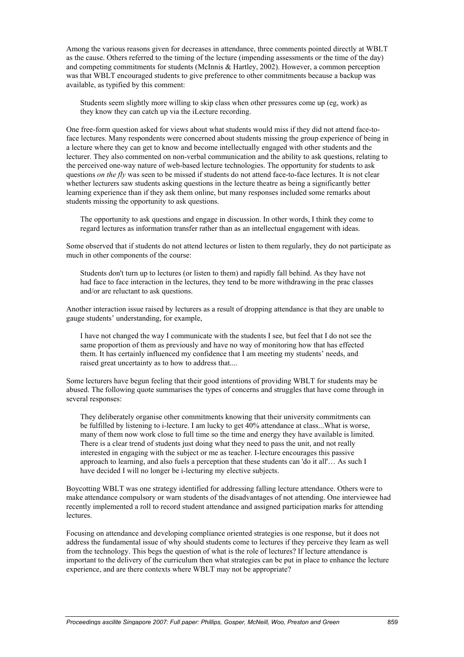Among the various reasons given for decreases in attendance, three comments pointed directly at WBLT as the cause. Others referred to the timing of the lecture (impending assessments or the time of the day) and competing commitments for students (McInnis & Hartley, 2002). However, a common perception was that WBLT encouraged students to give preference to other commitments because a backup was available, as typified by this comment:

Students seem slightly more willing to skip class when other pressures come up (eg, work) as they know they can catch up via the iLecture recording.

One free-form question asked for views about what students would miss if they did not attend face-toface lectures. Many respondents were concerned about students missing the group experience of being in a lecture where they can get to know and become intellectually engaged with other students and the lecturer. They also commented on non-verbal communication and the ability to ask questions, relating to the perceived one-way nature of web-based lecture technologies. The opportunity for students to ask questions *on the fly* was seen to be missed if students do not attend face-to-face lectures. It is not clear whether lecturers saw students asking questions in the lecture theatre as being a significantly better learning experience than if they ask them online, but many responses included some remarks about students missing the opportunity to ask questions.

The opportunity to ask questions and engage in discussion. In other words, I think they come to regard lectures as information transfer rather than as an intellectual engagement with ideas.

Some observed that if students do not attend lectures or listen to them regularly, they do not participate as much in other components of the course:

Students don't turn up to lectures (or listen to them) and rapidly fall behind. As they have not had face to face interaction in the lectures, they tend to be more withdrawing in the prac classes and/or are reluctant to ask questions.

Another interaction issue raised by lecturers as a result of dropping attendance is that they are unable to gauge students' understanding, for example,

I have not changed the way I communicate with the students I see, but feel that I do not see the same proportion of them as previously and have no way of monitoring how that has effected them. It has certainly influenced my confidence that I am meeting my students' needs, and raised great uncertainty as to how to address that....

Some lecturers have begun feeling that their good intentions of providing WBLT for students may be abused. The following quote summarises the types of concerns and struggles that have come through in several responses:

They deliberately organise other commitments knowing that their university commitments can be fulfilled by listening to i-lecture. I am lucky to get 40% attendance at class...What is worse, many of them now work close to full time so the time and energy they have available is limited. There is a clear trend of students just doing what they need to pass the unit, and not really interested in engaging with the subject or me as teacher. I-lecture encourages this passive approach to learning, and also fuels a perception that these students can 'do it all'… As such I have decided I will no longer be i-lecturing my elective subjects.

Boycotting WBLT was one strategy identified for addressing falling lecture attendance. Others were to make attendance compulsory or warn students of the disadvantages of not attending. One interviewee had recently implemented a roll to record student attendance and assigned participation marks for attending **lectures** 

Focusing on attendance and developing compliance oriented strategies is one response, but it does not address the fundamental issue of why should students come to lectures if they perceive they learn as well from the technology. This begs the question of what is the role of lectures? If lecture attendance is important to the delivery of the curriculum then what strategies can be put in place to enhance the lecture experience, and are there contexts where WBLT may not be appropriate?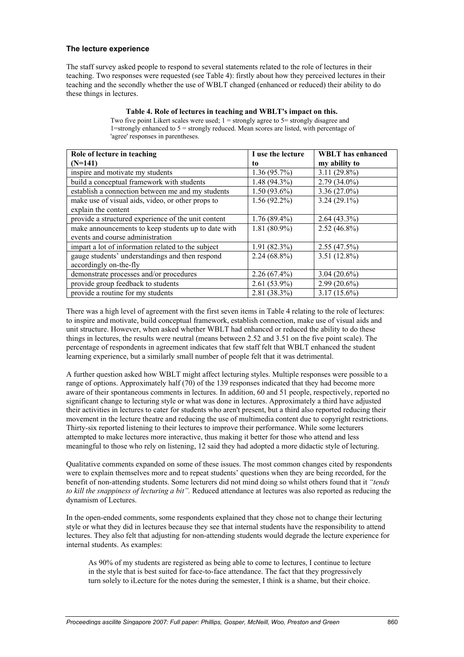#### **The lecture experience**

The staff survey asked people to respond to several statements related to the role of lectures in their teaching. Two responses were requested (see Table 4): firstly about how they perceived lectures in their teaching and the secondly whether the use of WBLT changed (enhanced or reduced) their ability to do these things in lectures.

| Role of lecture in teaching                         | I use the lecture | <b>WBLT</b> has enhanced |
|-----------------------------------------------------|-------------------|--------------------------|
| $(N=141)$                                           | to                | my ability to            |
| inspire and motivate my students                    | $1.36(95.7\%)$    | $3.11(29.8\%)$           |
| build a conceptual framework with students          | $1.48(94.3\%)$    | $2.79(34.0\%)$           |
| establish a connection between me and my students   | $1.50(93.6\%)$    | $3.36(27.0\%)$           |
| make use of visual aids, video, or other props to   | $1.56(92.2\%)$    | $3.24(29.1\%)$           |
| explain the content                                 |                   |                          |
| provide a structured experience of the unit content | $1.76(89.4\%)$    | $2.64(43.3\%)$           |
| make announcements to keep students up to date with | $1.81(80.9\%)$    | $2.52(46.8\%)$           |
| events and course administration                    |                   |                          |
| impart a lot of information related to the subject  | $1.91(82.3\%)$    | $2.55(47.5\%)$           |
| gauge students' understandings and then respond     | $2.24(68.8\%)$    | $3.51(12.8\%)$           |
| accordingly on-the-fly                              |                   |                          |
| demonstrate processes and/or procedures             | $2.26(67.4\%)$    | $3.04(20.6\%)$           |
| provide group feedback to students                  | $2.61(53.9\%)$    | $2.99(20.6\%)$           |
| provide a routine for my students                   | $2.81(38.3\%)$    | $3.17(15.6\%)$           |

### **Table 4. Role of lectures in teaching and WBLT's impact on this.**

Two five point Likert scales were used; 1 = strongly agree to 5= strongly disagree and 1=strongly enhanced to  $5 =$  strongly reduced. Mean scores are listed, with percentage of 'agree' responses in parentheses.

There was a high level of agreement with the first seven items in Table 4 relating to the role of lectures: to inspire and motivate, build conceptual framework, establish connection, make use of visual aids and unit structure. However, when asked whether WBLT had enhanced or reduced the ability to do these things in lectures, the results were neutral (means between 2.52 and 3.51 on the five point scale). The percentage of respondents in agreement indicates that few staff felt that WBLT enhanced the student learning experience, but a similarly small number of people felt that it was detrimental.

A further question asked how WBLT might affect lecturing styles. Multiple responses were possible to a range of options. Approximately half (70) of the 139 responses indicated that they had become more aware of their spontaneous comments in lectures. In addition, 60 and 51 people, respectively, reported no significant change to lecturing style or what was done in lectures. Approximately a third have adjusted their activities in lectures to cater for students who aren't present, but a third also reported reducing their movement in the lecture theatre and reducing the use of multimedia content due to copyright restrictions. Thirty-six reported listening to their lectures to improve their performance. While some lecturers attempted to make lectures more interactive, thus making it better for those who attend and less meaningful to those who rely on listening, 12 said they had adopted a more didactic style of lecturing.

Qualitative comments expanded on some of these issues. The most common changes cited by respondents were to explain themselves more and to repeat students' questions when they are being recorded, for the benefit of non-attending students. Some lecturers did not mind doing so whilst others found that it *"tends to kill the snappiness of lecturing a bit".* Reduced attendance at lectures was also reported as reducing the dynamism of Lectures.

In the open-ended comments, some respondents explained that they chose not to change their lecturing style or what they did in lectures because they see that internal students have the responsibility to attend lectures. They also felt that adjusting for non-attending students would degrade the lecture experience for internal students. As examples:

As 90% of my students are registered as being able to come to lectures, I continue to lecture in the style that is best suited for face-to-face attendance. The fact that they progressively turn solely to iLecture for the notes during the semester, I think is a shame, but their choice.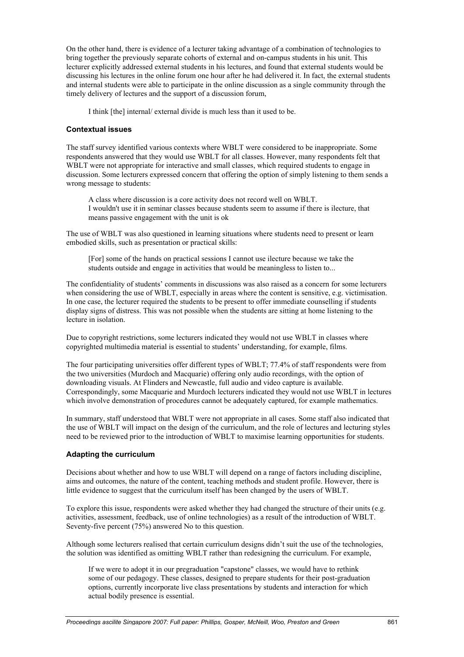On the other hand, there is evidence of a lecturer taking advantage of a combination of technologies to bring together the previously separate cohorts of external and on-campus students in his unit. This lecturer explicitly addressed external students in his lectures, and found that external students would be discussing his lectures in the online forum one hour after he had delivered it. In fact, the external students and internal students were able to participate in the online discussion as a single community through the timely delivery of lectures and the support of a discussion forum,

I think [the] internal/ external divide is much less than it used to be.

#### **Contextual issues**

The staff survey identified various contexts where WBLT were considered to be inappropriate. Some respondents answered that they would use WBLT for all classes. However, many respondents felt that WBLT were not appropriate for interactive and small classes, which required students to engage in discussion. Some lecturers expressed concern that offering the option of simply listening to them sends a wrong message to students:

A class where discussion is a core activity does not record well on WBLT. I wouldn't use it in seminar classes because students seem to assume if there is ilecture, that means passive engagement with the unit is ok

The use of WBLT was also questioned in learning situations where students need to present or learn embodied skills, such as presentation or practical skills:

[For] some of the hands on practical sessions I cannot use ilecture because we take the students outside and engage in activities that would be meaningless to listen to...

The confidentiality of students' comments in discussions was also raised as a concern for some lecturers when considering the use of WBLT, especially in areas where the content is sensitive, e.g. victimisation. In one case, the lecturer required the students to be present to offer immediate counselling if students display signs of distress. This was not possible when the students are sitting at home listening to the lecture in isolation.

Due to copyright restrictions, some lecturers indicated they would not use WBLT in classes where copyrighted multimedia material is essential to students' understanding, for example, films.

The four participating universities offer different types of WBLT; 77.4% of staff respondents were from the two universities (Murdoch and Macquarie) offering only audio recordings, with the option of downloading visuals. At Flinders and Newcastle, full audio and video capture is available. Correspondingly, some Macquarie and Murdoch lecturers indicated they would not use WBLT in lectures which involve demonstration of procedures cannot be adequately captured, for example mathematics.

In summary, staff understood that WBLT were not appropriate in all cases. Some staff also indicated that the use of WBLT will impact on the design of the curriculum, and the role of lectures and lecturing styles need to be reviewed prior to the introduction of WBLT to maximise learning opportunities for students.

#### **Adapting the curriculum**

Decisions about whether and how to use WBLT will depend on a range of factors including discipline, aims and outcomes, the nature of the content, teaching methods and student profile. However, there is little evidence to suggest that the curriculum itself has been changed by the users of WBLT.

To explore this issue, respondents were asked whether they had changed the structure of their units (e.g. activities, assessment, feedback, use of online technologies) as a result of the introduction of WBLT. Seventy-five percent (75%) answered No to this question.

Although some lecturers realised that certain curriculum designs didn't suit the use of the technologies, the solution was identified as omitting WBLT rather than redesigning the curriculum. For example,

If we were to adopt it in our pregraduation "capstone" classes, we would have to rethink some of our pedagogy. These classes, designed to prepare students for their post-graduation options, currently incorporate live class presentations by students and interaction for which actual bodily presence is essential.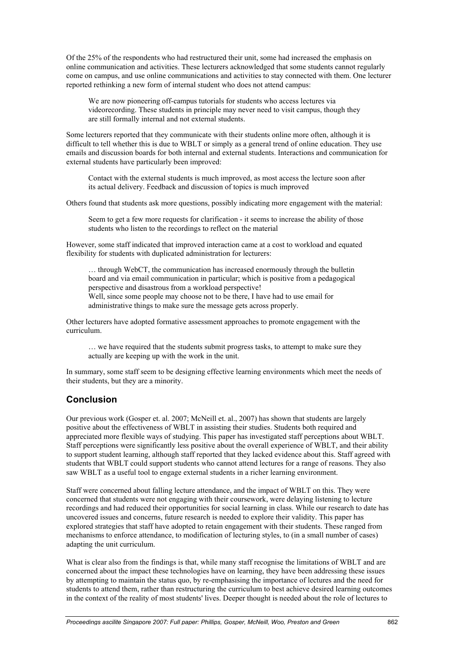Of the 25% of the respondents who had restructured their unit, some had increased the emphasis on online communication and activities. These lecturers acknowledged that some students cannot regularly come on campus, and use online communications and activities to stay connected with them. One lecturer reported rethinking a new form of internal student who does not attend campus:

We are now pioneering off-campus tutorials for students who access lectures via videorecording. These students in principle may never need to visit campus, though they are still formally internal and not external students.

Some lecturers reported that they communicate with their students online more often, although it is difficult to tell whether this is due to WBLT or simply as a general trend of online education. They use emails and discussion boards for both internal and external students. Interactions and communication for external students have particularly been improved:

Contact with the external students is much improved, as most access the lecture soon after its actual delivery. Feedback and discussion of topics is much improved

Others found that students ask more questions, possibly indicating more engagement with the material:

Seem to get a few more requests for clarification - it seems to increase the ability of those students who listen to the recordings to reflect on the material

However, some staff indicated that improved interaction came at a cost to workload and equated flexibility for students with duplicated administration for lecturers:

… through WebCT, the communication has increased enormously through the bulletin board and via email communication in particular; which is positive from a pedagogical perspective and disastrous from a workload perspective! Well, since some people may choose not to be there, I have had to use email for

administrative things to make sure the message gets across properly.

Other lecturers have adopted formative assessment approaches to promote engagement with the curriculum.

… we have required that the students submit progress tasks, to attempt to make sure they actually are keeping up with the work in the unit.

In summary, some staff seem to be designing effective learning environments which meet the needs of their students, but they are a minority.

# **Conclusion**

Our previous work (Gosper et. al. 2007; McNeill et. al., 2007) has shown that students are largely positive about the effectiveness of WBLT in assisting their studies. Students both required and appreciated more flexible ways of studying. This paper has investigated staff perceptions about WBLT. Staff perceptions were significantly less positive about the overall experience of WBLT, and their ability to support student learning, although staff reported that they lacked evidence about this. Staff agreed with students that WBLT could support students who cannot attend lectures for a range of reasons. They also saw WBLT as a useful tool to engage external students in a richer learning environment.

Staff were concerned about falling lecture attendance, and the impact of WBLT on this. They were concerned that students were not engaging with their coursework, were delaying listening to lecture recordings and had reduced their opportunities for social learning in class. While our research to date has uncovered issues and concerns, future research is needed to explore their validity. This paper has explored strategies that staff have adopted to retain engagement with their students. These ranged from mechanisms to enforce attendance, to modification of lecturing styles, to (in a small number of cases) adapting the unit curriculum.

What is clear also from the findings is that, while many staff recognise the limitations of WBLT and are concerned about the impact these technologies have on learning, they have been addressing these issues by attempting to maintain the status quo, by re-emphasising the importance of lectures and the need for students to attend them, rather than restructuring the curriculum to best achieve desired learning outcomes in the context of the reality of most students' lives. Deeper thought is needed about the role of lectures to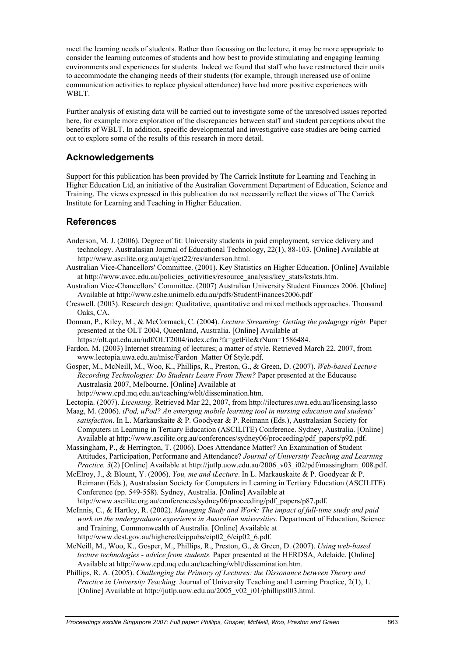meet the learning needs of students. Rather than focussing on the lecture, it may be more appropriate to consider the learning outcomes of students and how best to provide stimulating and engaging learning environments and experiences for students. Indeed we found that staff who have restructured their units to accommodate the changing needs of their students (for example, through increased use of online communication activities to replace physical attendance) have had more positive experiences with WBLT.

Further analysis of existing data will be carried out to investigate some of the unresolved issues reported here, for example more exploration of the discrepancies between staff and student perceptions about the benefits of WBLT. In addition, specific developmental and investigative case studies are being carried out to explore some of the results of this research in more detail.

# **Acknowledgements**

Support for this publication has been provided by The Carrick Institute for Learning and Teaching in Higher Education Ltd, an initiative of the Australian Government Department of Education, Science and Training. The views expressed in this publication do not necessarily reflect the views of The Carrick Institute for Learning and Teaching in Higher Education.

## **References**

- Anderson, M. J. (2006). Degree of fit: University students in paid employment, service delivery and technology. Australasian Journal of Educational Technology, 22(1), 88-103. [Online] Available at http://www.ascilite.org.au/ajet/ajet22/res/anderson.html.
- Australian Vice-Chancellors' Committee. (2001). Key Statistics on Higher Education. [Online] Available at http://www.avcc.edu.au/policies\_activities/resource\_analysis/key\_stats/kstats.htm.
- Australian Vice-Chancellors' Committee. (2007) Australian University Student Finances 2006. [Online] Available at http://www.cshe.unimelb.edu.au/pdfs/StudentFinances2006.pdf
- Creswell. (2003). Research design: Qualitative, quantitative and mixed methods approaches. Thousand Oaks, CA.
- Donnan, P., Kiley, M., & McCormack, C. (2004). *Lecture Streaming: Getting the pedagogy right.* Paper presented at the OLT 2004, Queenland, Australia. [Online] Available at
- https://olt.qut.edu.au/udf/OLT2004/index.cfm?fa=getFile&rNum=1586484.
- Fardon, M. (2003) Internet streaming of lectures; a matter of style. Retrieved March 22, 2007, from www.lectopia.uwa.edu.au/misc/Fardon\_Matter Of Style.pdf.
- Gosper, M., McNeill, M., Woo, K., Phillips, R., Preston, G., & Green, D. (2007). *Web-based Lecture Recording Technologies: Do Students Learn From Them?* Paper presented at the Educause Australasia 2007, Melbourne. [Online] Available at

http://www.cpd.mq.edu.au/teaching/wblt/dissemination.htm.

- Lectopia. (2007). *Licensing*. Retrieved Mar 22, 2007, from http://ilectures.uwa.edu.au/licensing.lasso
- Maag, M. (2006). *iPod, uPod? An emerging mobile learning tool in nursing education and students' satisfaction*. In L. Markauskaite & P. Goodyear & P. Reimann (Eds.), Australasian Society for Computers in Learning in Tertiary Education (ASCILITE) Conference. Sydney, Australia. [Online] Available at http://www.ascilite.org.au/conferences/sydney06/proceeding/pdf\_papers/p92.pdf.
- Massingham, P., & Herrington, T. (2006). Does Attendance Matter? An Examination of Student Attitudes, Participation, Performane and Attendance? *Journal of University Teaching and Learning Practice, 3*(2) [Online] Available at http://jutlp.uow.edu.au/2006\_v03\_i02/pdf/massingham\_008.pdf.
- McElroy, J., & Blount, Y. (2006). *You, me and iLecture*. In L. Markauskaite & P. Goodyear & P. Reimann (Eds.), Australasian Society for Computers in Learning in Tertiary Education (ASCILITE) Conference (pp. 549-558). Sydney, Australia. [Online] Available at http://www.ascilite.org.au/conferences/sydney06/proceeding/pdf\_papers/p87.pdf.
- McInnis, C., & Hartley, R. (2002). *Managing Study and Work: The impact of full-time study and paid work on the undergraduate experience in Australian universities*. Department of Education, Science and Training, Commonwealth of Australia. [Online] Available at http://www.dest.gov.au/highered/eippubs/eip02\_6/eip02\_6.pdf.
- McNeill, M., Woo, K., Gosper, M., Phillips, R., Preston, G., & Green, D. (2007). *Using web-based lecture technologies - advice from students.* Paper presented at the HERDSA, Adelaide. [Online] Available at http://www.cpd.mq.edu.au/teaching/wblt/dissemination.htm.
- Phillips, R. A. (2005). *Challenging the Primacy of Lectures: the Dissonance between Theory and Practice in University Teaching.* Journal of University Teaching and Learning Practice, 2(1), 1. [Online] Available at http://jutlp.uow.edu.au/2005\_v02\_i01/phillips003.html.